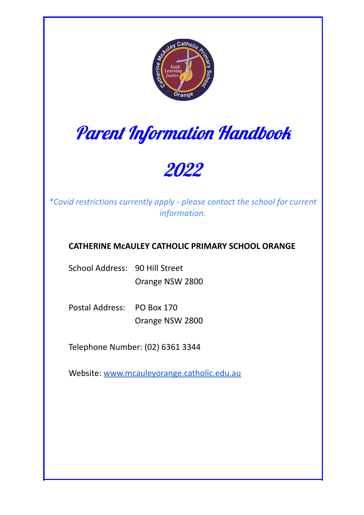

# Parent Information Handbook

## 2022

*\*Covid restrictions currently apply - please contact the school for current information.*

### **CATHERINE McAULEY CATHOLIC PRIMARY SCHOOL ORANGE**

School Address: 90 Hill Street Orange NSW 2800

Postal Address: PO Box 170 Orange NSW 2800

Telephone Number: (02) 6361 3344

Website: www.mcauleyorange.catholic.edu.au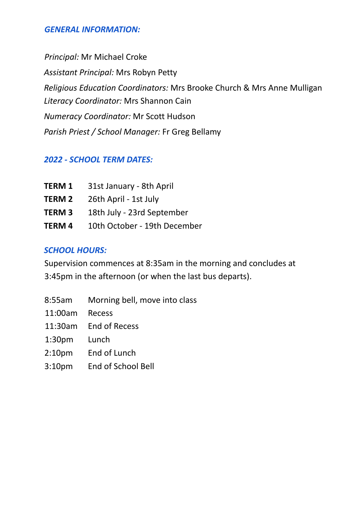#### *GENERAL INFORMATION:*

*Principal:* Mr Michael Croke *Assistant Principal:* Mrs Robyn Petty *Religious Education Coordinators:* Mrs Brooke Church & Mrs Anne Mulligan *Literacy Coordinator:* Mrs Shannon Cain *Numeracy Coordinator:* Mr Scott Hudson *Parish Priest / School Manager:* Fr Greg Bellamy

#### *2022 - SCHOOL TERM DATES:*

| <b>TERM 1</b> | 31st January - 8th April     |
|---------------|------------------------------|
| <b>TERM 2</b> | 26th April - 1st July        |
| <b>TERM3</b>  | 18th July - 23rd September   |
| TERM 4        | 10th October - 19th December |

#### *SCHOOL HOURS:*

Supervision commences at 8:35am in the morning and concludes at 3:45pm in the afternoon (or when the last bus departs).

- 8:55am Morning bell, move into class
- 11:00am Recess
- 11:30am End of Recess
- 1:30pm Lunch
- 2:10pm End of Lunch
- 3:10pm End of School Bell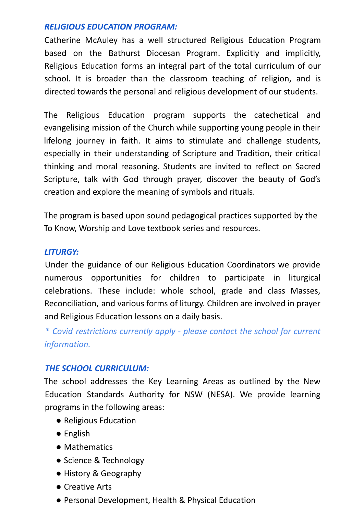#### *RELIGIOUS EDUCATION PROGRAM:*

Catherine McAuley has a well structured Religious Education Program based on the Bathurst Diocesan Program. Explicitly and implicitly, Religious Education forms an integral part of the total curriculum of our school. It is broader than the classroom teaching of religion, and is directed towards the personal and religious development of our students.

The Religious Education program supports the catechetical and evangelising mission of the Church while supporting young people in their lifelong journey in faith. It aims to stimulate and challenge students, especially in their understanding of Scripture and Tradition, their critical thinking and moral reasoning. Students are invited to reflect on Sacred Scripture, talk with God through prayer, discover the beauty of God's creation and explore the meaning of symbols and rituals.

The program is based upon sound pedagogical practices supported by the To Know, Worship and Love textbook series and resources.

#### *LITURGY:*

Under the guidance of our Religious Education Coordinators we provide numerous opportunities for children to participate in liturgical celebrations. These include: whole school, grade and class Masses, Reconciliation, and various forms of liturgy. Children are involved in prayer and Religious Education lessons on a daily basis.

*\* Covid restrictions currently apply - please contact the school for current information.*

#### *THE SCHOOL CURRICULUM:*

The school addresses the Key Learning Areas as outlined by the New Education Standards Authority for NSW (NESA). We provide learning programs in the following areas:

- Religious Education
- English
- Mathematics
- Science & Technology
- History & Geography
- Creative Arts
- Personal Development, Health & Physical Education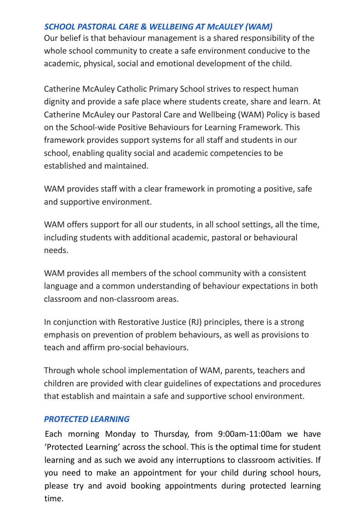#### *SCHOOL PASTORAL CARE & WELLBEING AT McAULEY (WAM)*

Our belief is that behaviour management is a shared responsibility of the whole school community to create a safe environment conducive to the academic, physical, social and emotional development of the child.

Catherine McAuley Catholic Primary School strives to respect human dignity and provide a safe place where students create, share and learn. At Catherine McAuley our Pastoral Care and Wellbeing (WAM) Policy is based on the School-wide Positive Behaviours for Learning Framework. This framework provides support systems for all staff and students in our school, enabling quality social and academic competencies to be established and maintained.

WAM provides staff with a clear framework in promoting a positive, safe and supportive environment.

WAM offers support for all our students, in all school settings, all the time, including students with additional academic, pastoral or behavioural needs.

WAM provides all members of the school community with a consistent language and a common understanding of behaviour expectations in both classroom and non-classroom areas.

In conjunction with Restorative Justice (RJ) principles, there is a strong emphasis on prevention of problem behaviours, as well as provisions to teach and affirm pro-social behaviours.

Through whole school implementation of WAM, parents, teachers and children are provided with clear guidelines of expectations and procedures that establish and maintain a safe and supportive school environment.

#### *PROTECTED LEARNING*

Each morning Monday to Thursday, from 9:00am-11:00am we have 'Protected Learning' across the school. This is the optimal time for student learning and as such we avoid any interruptions to classroom activities. If you need to make an appointment for your child during school hours, please try and avoid booking appointments during protected learning time.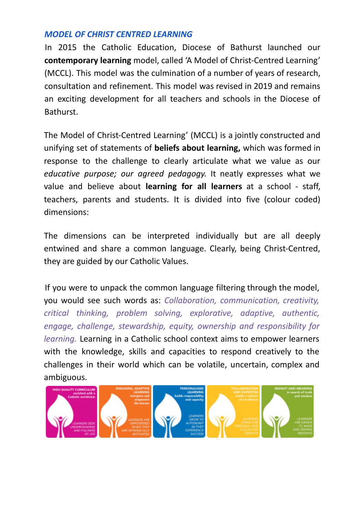#### *MODEL OF CHRIST CENTRED LEARNING*

In 2015 the Catholic Education, Diocese of Bathurst launched our **contemporary learning** model, called 'A Model of Christ-Centred Learning' (MCCL). This model was the culmination of a number of years of research, consultation and refinement. This model was revised in 2019 and remains an exciting development for all teachers and schools in the Diocese of **Bathurst** 

The Model of Christ-Centred Learning' (MCCL) is a jointly constructed and unifying set of statements of **beliefs about learning,** which was formed in response to the challenge to clearly articulate what we value as our *educative purpose; our agreed pedagogy.* It neatly expresses what we value and believe about **learning for all learners** at a school - staff, teachers, parents and students. It is divided into five (colour coded) dimensions:

The dimensions can be interpreted individually but are all deeply entwined and share a common language. Clearly, being Christ-Centred, they are guided by our Catholic Values.

If you were to unpack the common language filtering through the model, you would see such words as: *Collaboration, communication, creativity, critical thinking, problem solving, explorative, adaptive, authentic, engage, challenge, stewardship, equity, ownership and responsibility for learning.* Learning in a Catholic school context aims to empower learners with the knowledge, skills and capacities to respond creatively to the challenges in their world which can be volatile, uncertain, complex and ambiguous.

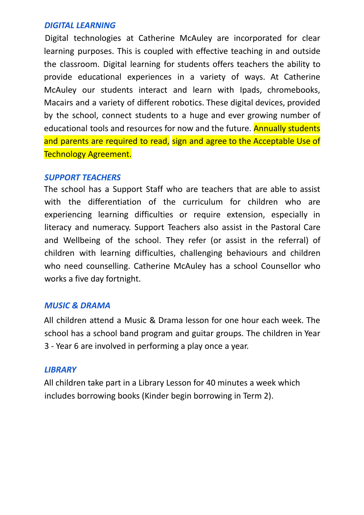#### *DIGITAL LEARNING*

Digital technologies at Catherine McAuley are incorporated for clear learning purposes. This is coupled with effective teaching in and outside the classroom. Digital learning for students offers teachers the ability to provide educational experiences in a variety of ways. At Catherine McAuley our students interact and learn with Ipads, chromebooks, Macairs and a variety of different robotics. These digital devices, provided by the school, connect students to a huge and ever growing number of educational tools and resources for now and the future. **Annually students** and parents are required to read, sign and agree to the Acceptable Use of Technology Agreement.

#### *SUPPORT TEACHERS*

The school has a Support Staff who are teachers that are able to assist with the differentiation of the curriculum for children who are experiencing learning difficulties or require extension, especially in literacy and numeracy. Support Teachers also assist in the Pastoral Care and Wellbeing of the school. They refer (or assist in the referral) of children with learning difficulties, challenging behaviours and children who need counselling. Catherine McAuley has a school Counsellor who works a five day fortnight.

#### *MUSIC & DRAMA*

All children attend a Music & Drama lesson for one hour each week. The school has a school band program and guitar groups. The children in Year 3 - Year 6 are involved in performing a play once a year.

#### *LIBRARY*

All children take part in a Library Lesson for 40 minutes a week which includes borrowing books (Kinder begin borrowing in Term 2).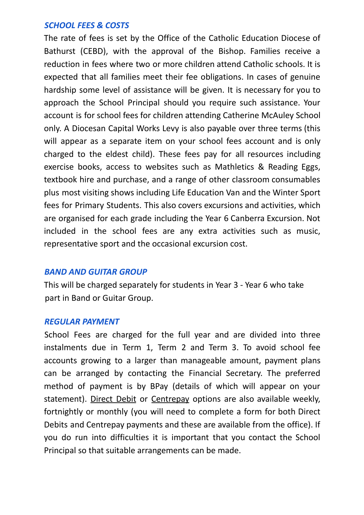#### *SCHOOL FEES & COSTS*

The rate of fees is set by the Office of the Catholic Education Diocese of Bathurst (CEBD), with the approval of the Bishop. Families receive a reduction in fees where two or more children attend Catholic schools. It is expected that all families meet their fee obligations. In cases of genuine hardship some level of assistance will be given. It is necessary for you to approach the School Principal should you require such assistance. Your account is for school fees for children attending Catherine McAuley School only. A Diocesan Capital Works Levy is also payable over three terms (this will appear as a separate item on your school fees account and is only charged to the eldest child). These fees pay for all resources including exercise books, access to websites such as Mathletics & Reading Eggs, textbook hire and purchase, and a range of other classroom consumables plus most visiting shows including Life Education Van and the Winter Sport fees for Primary Students. This also covers excursions and activities, which are organised for each grade including the Year 6 Canberra Excursion. Not included in the school fees are any extra activities such as music, representative sport and the occasional excursion cost.

#### *BAND AND GUITAR GROUP*

This will be charged separately for students in Year 3 - Year 6 who take part in Band or Guitar Group.

#### *REGULAR PAYMENT*

School Fees are charged for the full year and are divided into three instalments due in Term 1, Term 2 and Term 3. To avoid school fee accounts growing to a larger than manageable amount, payment plans can be arranged by contacting the Financial Secretary. The preferred method of payment is by BPay (details of which will appear on your statement). Direct Debit or Centrepay options are also available weekly, fortnightly or monthly (you will need to complete a form for both Direct Debits and Centrepay payments and these are available from the office). If you do run into difficulties it is important that you contact the School Principal so that suitable arrangements can be made.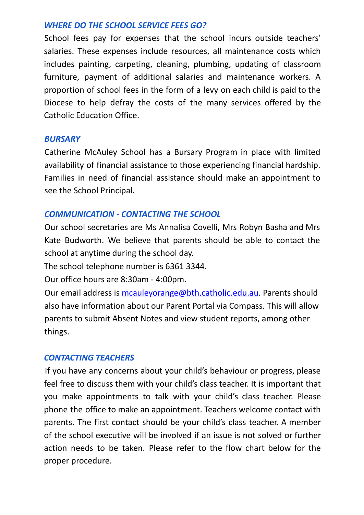#### *WHERE DO THE SCHOOL SERVICE FEES GO?*

School fees pay for expenses that the school incurs outside teachers' salaries. These expenses include resources, all maintenance costs which includes painting, carpeting, cleaning, plumbing, updating of classroom furniture, payment of additional salaries and maintenance workers. A proportion of school fees in the form of a levy on each child is paid to the Diocese to help defray the costs of the many services offered by the Catholic Education Office.

#### *BURSARY*

Catherine McAuley School has a Bursary Program in place with limited availability of financial assistance to those experiencing financial hardship. Families in need of financial assistance should make an appointment to see the School Principal.

#### *COMMUNICATION - CONTACTING THE SCHOOL*

Our school secretaries are Ms Annalisa Covelli, Mrs Robyn Basha and Mrs Kate Budworth. We believe that parents should be able to contact the school at anytime during the school day.

The school telephone number is 6361 3344.

Our office hours are 8:30am - 4:00pm.

Our email address is mcauleyorange@bth.catholic.edu.au. Parents should also have information about our Parent Portal via Compass. This will allow parents to submit Absent Notes and view student reports, among other things.

#### *CONTACTING TEACHERS*

If you have any concerns about your child's behaviour or progress, please feel free to discuss them with your child's class teacher. It is important that you make appointments to talk with your child's class teacher. Please phone the office to make an appointment. Teachers welcome contact with parents. The first contact should be your child's class teacher. A member of the school executive will be involved if an issue is not solved or further action needs to be taken. Please refer to the flow chart below for the proper procedure.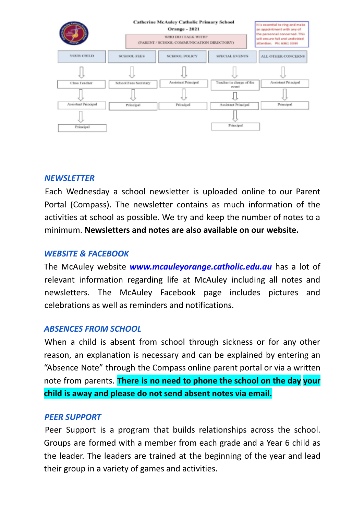

#### *NEWSLETTER*

Each Wednesday a school newsletter is uploaded online to our Parent Portal (Compass). The newsletter contains as much information of the activities at school as possible. We try and keep the number of notes to a minimum. **Newsletters and notes are also available on our website.**

#### *WEBSITE & FACEBOOK*

The McAuley website *www.mcauleyorange.catholic.edu.au* has a lot of relevant information regarding life at McAuley including all notes and newsletters. The McAuley Facebook page includes pictures and celebrations as well as reminders and notifications.

#### *ABSENCES FROM SCHOOL*

When a child is absent from school through sickness or for any other reason, an explanation is necessary and can be explained by entering an "Absence Note" through the Compass online parent portal or via a written note from parents. **There is no need to phone the school on the day your child is away and please do not send absent notes via email.**

#### *PEER SUPPORT*

Peer Support is a program that builds relationships across the school. Groups are formed with a member from each grade and a Year 6 child as the leader. The leaders are trained at the beginning of the year and lead their group in a variety of games and activities.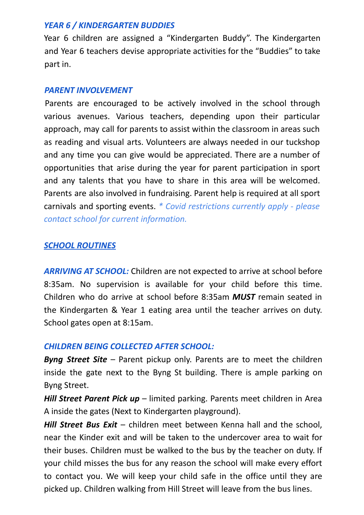#### *YEAR 6 / KINDERGARTEN BUDDIES*

Year 6 children are assigned a "Kindergarten Buddy". The Kindergarten and Year 6 teachers devise appropriate activities for the "Buddies" to take part in.

#### *PARENT INVOLVEMENT*

Parents are encouraged to be actively involved in the school through various avenues. Various teachers, depending upon their particular approach, may call for parents to assist within the classroom in areas such as reading and visual arts. Volunteers are always needed in our tuckshop and any time you can give would be appreciated. There are a number of opportunities that arise during the year for parent participation in sport and any talents that you have to share in this area will be welcomed. Parents are also involved in fundraising. Parent help is required at all sport carnivals and sporting events. *\* Covid restrictions currently apply - please contact school for current information.*

#### *SCHOOL ROUTINES*

*ARRIVING AT SCHOOL:* Children are not expected to arrive at school before 8:35am. No supervision is available for your child before this time. Children who do arrive at school before 8:35am *MUST* remain seated in the Kindergarten & Year 1 eating area until the teacher arrives on duty. School gates open at 8:15am.

#### *CHILDREN BEING COLLECTED AFTER SCHOOL:*

*Byng Street Site* – Parent pickup only. Parents are to meet the children inside the gate next to the Byng St building. There is ample parking on Byng Street.

*Hill Street Parent Pick up* – limited parking. Parents meet children in Area A inside the gates (Next to Kindergarten playground).

*Hill Street Bus Exit* – children meet between Kenna hall and the school, near the Kinder exit and will be taken to the undercover area to wait for their buses. Children must be walked to the bus by the teacher on duty. If your child misses the bus for any reason the school will make every effort to contact you. We will keep your child safe in the office until they are picked up. Children walking from Hill Street will leave from the bus lines.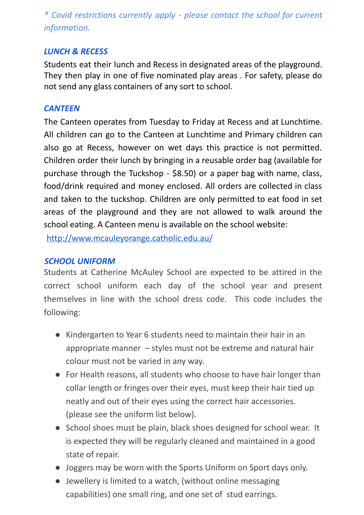*\* Covid restrictions currently apply - please contact the school for current information.*

#### *LUNCH & RECESS*

Students eat their lunch and Recess in designated areas of the playground. They then play in one of five nominated play areas . For safety, please do not send any glass containers of any sort to school.

#### *CANTEEN*

The Canteen operates from Tuesday to Friday at Recess and at Lunchtime. All children can go to the Canteen at Lunchtime and Primary children can also go at Recess, however on wet days this practice is not permitted. Children order their lunch by bringing in a reusable order bag (available for purchase through the Tuckshop - \$8.50) or a paper bag with name, class, food/drink required and money enclosed. All orders are collected in class and taken to the tuckshop. Children are only permitted to eat food in set areas of the playground and they are not allowed to walk around the school eating. A Canteen menu is available on the school website:

http://www.mcauleyorange.catholic.edu.au/

#### *SCHOOL UNIFORM*

Students at Catherine McAuley School are expected to be attired in the correct school uniform each day of the school year and present themselves in line with the school dress code. This code includes the following:

- Kindergarten to Year 6 students need to maintain their hair in an appropriate manner – styles must not be extreme and natural hair colour must not be varied in any way.
- For Health reasons, all students who choose to have hair longer than collar length or fringes over their eyes, must keep their hair tied up neatly and out of their eyes using the correct hair accessories. (please see the uniform list below).
- School shoes must be plain, black shoes designed for school wear. It is expected they will be regularly cleaned and maintained in a good state of repair.
- Joggers may be worn with the Sports Uniform on Sport days only.
- Jewellery is limited to a watch, (without online messaging capabilities) one small ring, and one set of stud earrings.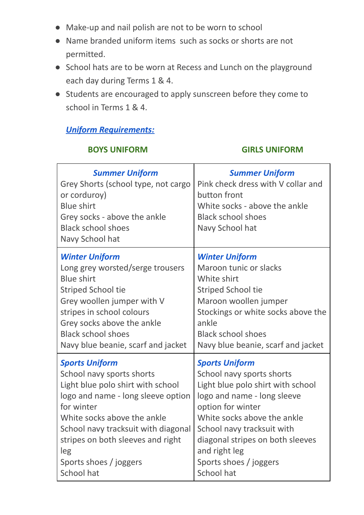- Make-up and nail polish are not to be worn to school
- Name branded uniform items such as socks or shorts are not permitted.
- School hats are to be worn at Recess and Lunch on the playground each day during Terms 1 & 4.
- Students are encouraged to apply sunscreen before they come to school in Terms 1 & 4.

#### *Uniform Requirements:*

#### **BOYS UNIFORM GIRLS UNIFORM**

| <b>Summer Uniform</b><br>Grey Shorts (school type, not cargo<br>or corduroy)<br><b>Blue shirt</b><br>Grey socks - above the ankle<br><b>Black school shoes</b><br>Navy School hat | <b>Summer Uniform</b><br>Pink check dress with V collar and<br>button front<br>White socks - above the ankle<br><b>Black school shoes</b><br>Navy School hat |
|-----------------------------------------------------------------------------------------------------------------------------------------------------------------------------------|--------------------------------------------------------------------------------------------------------------------------------------------------------------|
| <b>Winter Uniform</b>                                                                                                                                                             | <b>Winter Uniform</b>                                                                                                                                        |
| Long grey worsted/serge trousers                                                                                                                                                  | Maroon tunic or slacks                                                                                                                                       |
| <b>Blue shirt</b>                                                                                                                                                                 | White shirt                                                                                                                                                  |
| <b>Striped School tie</b>                                                                                                                                                         | <b>Striped School tie</b>                                                                                                                                    |
| Grey woollen jumper with V                                                                                                                                                        | Maroon woollen jumper                                                                                                                                        |
| stripes in school colours                                                                                                                                                         | Stockings or white socks above the                                                                                                                           |
| Grey socks above the ankle                                                                                                                                                        | ankle                                                                                                                                                        |
| <b>Black school shoes</b>                                                                                                                                                         | <b>Black school shoes</b>                                                                                                                                    |
| Navy blue beanie, scarf and jacket                                                                                                                                                | Navy blue beanie, scarf and jacket                                                                                                                           |
| <b>Sports Uniform</b>                                                                                                                                                             | <b>Sports Uniform</b>                                                                                                                                        |
| School navy sports shorts                                                                                                                                                         | School navy sports shorts                                                                                                                                    |
| Light blue polo shirt with school                                                                                                                                                 | Light blue polo shirt with school                                                                                                                            |
| logo and name - long sleeve option                                                                                                                                                | logo and name - long sleeve                                                                                                                                  |
| for winter                                                                                                                                                                        | option for winter                                                                                                                                            |
| White socks above the ankle                                                                                                                                                       | White socks above the ankle                                                                                                                                  |
| School navy tracksuit with diagonal                                                                                                                                               | School navy tracksuit with                                                                                                                                   |
| stripes on both sleeves and right                                                                                                                                                 | diagonal stripes on both sleeves                                                                                                                             |
| leg                                                                                                                                                                               | and right leg                                                                                                                                                |
| Sports shoes / joggers                                                                                                                                                            | Sports shoes / joggers                                                                                                                                       |
| School hat                                                                                                                                                                        | <b>School hat</b>                                                                                                                                            |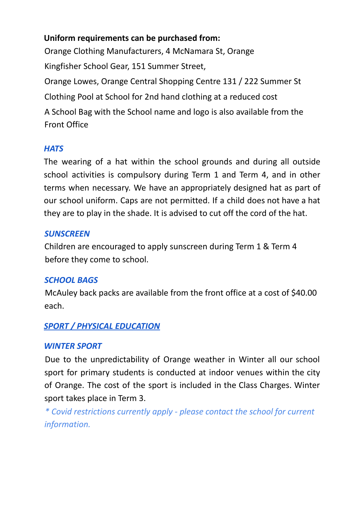#### **Uniform requirements can be purchased from:**

Orange Clothing Manufacturers, 4 McNamara St, Orange Kingfisher School Gear, 151 Summer Street, Orange Lowes, Orange Central Shopping Centre 131 / 222 Summer St Clothing Pool at School for 2nd hand clothing at a reduced cost A School Bag with the School name and logo is also available from the Front Office

#### *HATS*

The wearing of a hat within the school grounds and during all outside school activities is compulsory during Term 1 and Term 4, and in other terms when necessary. We have an appropriately designed hat as part of our school uniform. Caps are not permitted. If a child does not have a hat they are to play in the shade. It is advised to cut off the cord of the hat.

#### *SUNSCREEN*

Children are encouraged to apply sunscreen during Term 1 & Term 4 before they come to school.

#### *SCHOOL BAGS*

McAuley back packs are available from the front office at a cost of \$40.00 each.

#### *SPORT / PHYSICAL EDUCATION*

#### *WINTER SPORT*

Due to the unpredictability of Orange weather in Winter all our school sport for primary students is conducted at indoor venues within the city of Orange. The cost of the sport is included in the Class Charges. Winter sport takes place in Term 3.

*\* Covid restrictions currently apply - please contact the school for current information.*